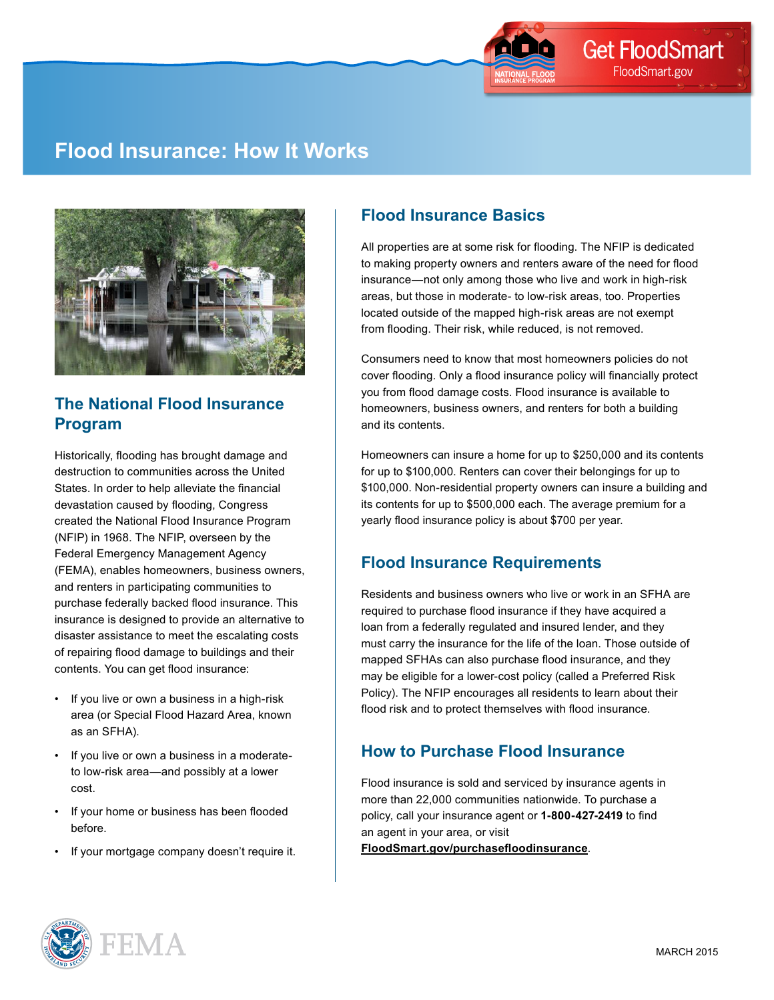

# **Flood Insurance: How It Works**



### **The National Flood Insurance Program**

Historically, flooding has brought damage and destruction to communities across the United States. In order to help alleviate the financial devastation caused by flooding, Congress created the National Flood Insurance Program (NFIP) in 1968. The NFIP, overseen by the Federal Emergency Management Agency (FEMA), enables homeowners, business owners, and renters in participating communities to purchase federally backed flood insurance. This insurance is designed to provide an alternative to disaster assistance to meet the escalating costs of repairing flood damage to buildings and their contents. You can get flood insurance:

- If you live or own a business in a high-risk area (or Special Flood Hazard Area, known as an SFHA).
- If you live or own a business in a moderateto low-risk area—and possibly at a lower cost.
- If your home or business has been flooded before.
- If your mortgage company doesn't require it.

#### **Flood Insurance Basics**

All properties are at some risk for flooding. The NFIP is dedicated to making property owners and renters aware of the need for flood insurance—not only among those who live and work in high-risk areas, but those in moderate- to low-risk areas, too. Properties located outside of the mapped high-risk areas are not exempt from flooding. Their risk, while reduced, is not removed.

Consumers need to know that most homeowners policies do not cover flooding. Only a flood insurance policy will financially protect you from flood damage costs. Flood insurance is available to homeowners, business owners, and renters for both a building and its contents.

Homeowners can insure a home for up to \$250,000 and its contents for up to \$100,000. Renters can cover their belongings for up to \$100,000. Non-residential property owners can insure a building and its contents for up to \$500,000 each. The average premium for a yearly flood insurance policy is about \$700 per year.

# **Flood Insurance Requirements**

Residents and business owners who live or work in an SFHA are required to purchase flood insurance if they have acquired a loan from a federally regulated and insured lender, and they must carry the insurance for the life of the loan. Those outside of mapped SFHAs can also purchase flood insurance, and they may be eligible for a lower-cost policy (called a Preferred Risk Policy). The NFIP encourages all residents to learn about their flood risk and to protect themselves with flood insurance.

### **How to Purchase Flood Insurance**

Flood insurance is sold and serviced by insurance agents in more than 22,000 communities nationwide. To purchase a policy, call your insurance agent or **1-800-427-2419** to find an agent in your area, or visit **[FloodSmart.gov/purchasefloodinsurance](http://www.FloodSmart.gov/purchasefloodinsurance)**.

**FMA**